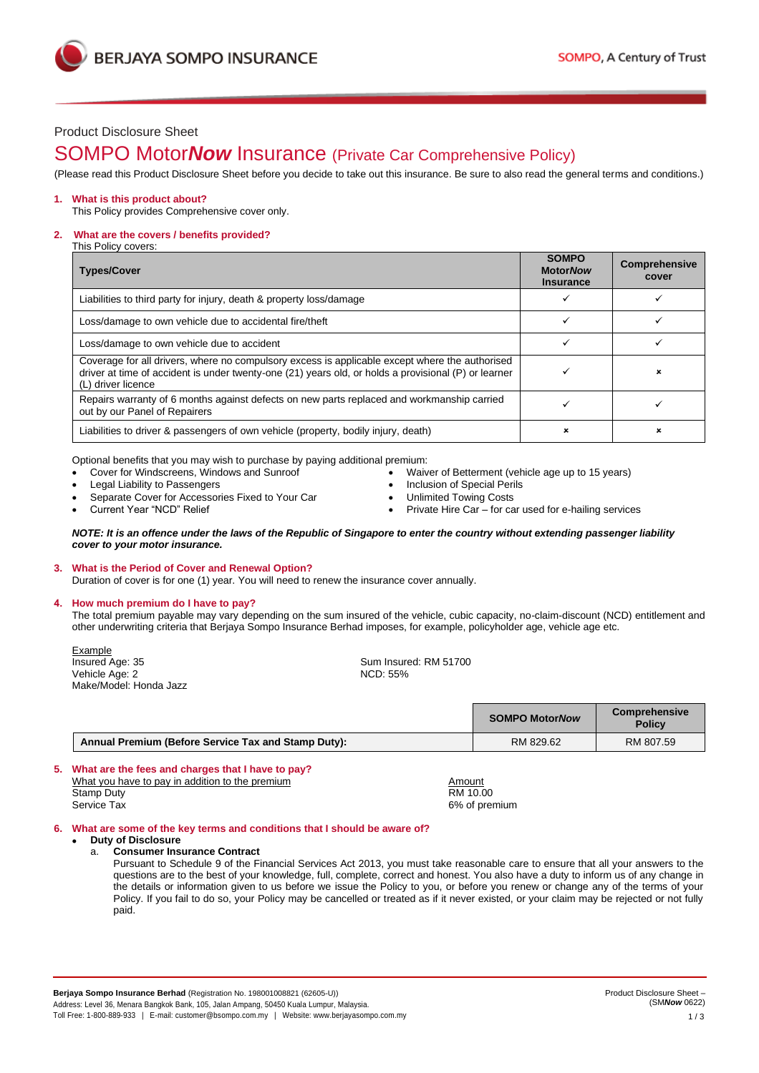**BERJAYA SOMPO INSURANCE** 

# Product Disclosure Sheet

# SOMPO Motor*Now* Insurance (Private Car Comprehensive Policy)

(Please read this Product Disclosure Sheet before you decide to take out this insurance. Be sure to also read the general terms and conditions.)

# **1. What is this product about?**

This Policy provides Comprehensive cover only.

#### **2.** 2. 2 **What are the covers / benefits provided?**

This Policy covers:

| <b>Types/Cover</b>                                                                                                                                                                                                           | <b>SOMPO</b><br><b>MotorNow</b><br><b>Insurance</b> | <b>Comprehensive</b><br>cover |
|------------------------------------------------------------------------------------------------------------------------------------------------------------------------------------------------------------------------------|-----------------------------------------------------|-------------------------------|
| Liabilities to third party for injury, death & property loss/damage                                                                                                                                                          |                                                     |                               |
| Loss/damage to own vehicle due to accidental fire/theft                                                                                                                                                                      |                                                     |                               |
| Loss/damage to own vehicle due to accident                                                                                                                                                                                   | ✓                                                   |                               |
| Coverage for all drivers, where no compulsory excess is applicable except where the authorised<br>driver at time of accident is under twenty-one (21) years old, or holds a provisional (P) or learner<br>(L) driver licence |                                                     | ×                             |
| Repairs warranty of 6 months against defects on new parts replaced and workmanship carried<br>out by our Panel of Repairers                                                                                                  |                                                     |                               |
| Liabilities to driver & passengers of own vehicle (property, bodily injury, death)                                                                                                                                           | ×                                                   |                               |

Optional benefits that you may wish to purchase by paying additional premium:

- Cover for Windscreens, Windows and Sunroof
- Legal Liability to Passengers
- Separate Cover for Accessories Fixed to Your Car
- Current Year "NCD" Relief
- Waiver of Betterment (vehicle age up to 15 years)
- Inclusion of Special Perils
- Unlimited Towing Costs
- Private Hire Car for car used for e-hailing services

#### *NOTE: It is an offence under the laws of the Republic of Singapore to enter the country without extending passenger liability cover to your motor insurance.*

### **3. What is the Period of Cover and Renewal Option?**

Duration of cover is for one (1) year. You will need to renew the insurance cover annually.

### **4. How much premium do I have to pay?**

The total premium payable may vary depending on the sum insured of the vehicle, cubic capacity, no-claim-discount (NCD) entitlement and other underwriting criteria that Berjaya Sompo Insurance Berhad imposes, for example, policyholder age, vehicle age etc.

Example<br>Insured Age: 35 Vehicle Age: 2 Make/Model: Honda Jazz

Sum Insured: RM 51700<br>NCD: 55%

|                                                     | <b>SOMPO MotorNow</b> | Comprehensive<br><b>Policy</b> |
|-----------------------------------------------------|-----------------------|--------------------------------|
| Annual Premium (Before Service Tax and Stamp Duty): | RM 829.62             | RM 807.59                      |

# **5. What are the fees and charges that I have to pay?** What you have to pay in addition to the premium Amount Amount Stamp Duty<br>Service Tax 6% of presents and the service Tax 6% of presents and the service Tax 6% of presents and the service Tax 6% of presents and the service Tax 6% of presents and the service Tax 6% of presents and the s

6% of premium

### **6. What are some of the key terms and conditions that I should be aware of?**

• **Duty of Disclosure** a. **Consumer Insurance Contract**

Pursuant to Schedule 9 of the Financial Services Act 2013, you must take reasonable care to ensure that all your answers to the questions are to the best of your knowledge, full, complete, correct and honest. You also have a duty to inform us of any change in the details or information given to us before we issue the Policy to you, or before you renew or change any of the terms of your Policy. If you fail to do so, your Policy may be cancelled or treated as if it never existed, or your claim may be rejected or not fully paid.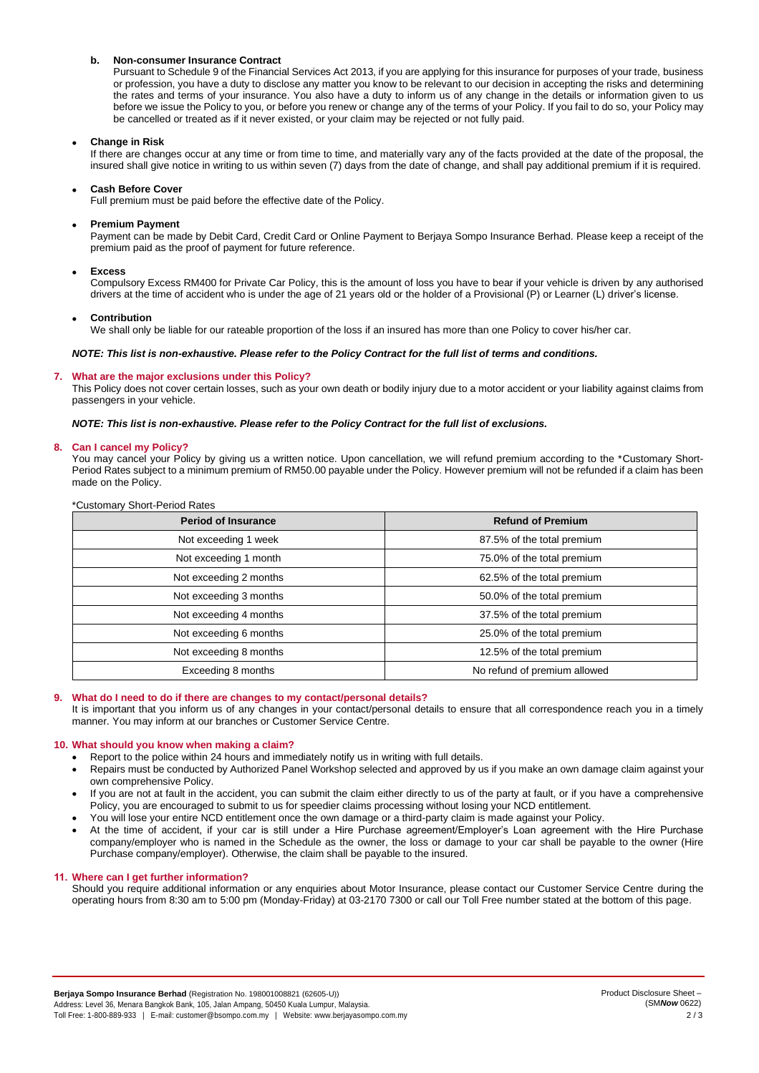### **b. Non-consumer Insurance Contract**

Pursuant to Schedule 9 of the Financial Services Act 2013, if you are applying for this insurance for purposes of your trade, business or profession, you have a duty to disclose any matter you know to be relevant to our decision in accepting the risks and determining the rates and terms of your insurance. You also have a duty to inform us of any change in the details or information given to us before we issue the Policy to you, or before you renew or change any of the terms of your Policy. If you fail to do so, your Policy may be cancelled or treated as if it never existed, or your claim may be rejected or not fully paid.

### • **Change in Risk**

If there are changes occur at any time or from time to time, and materially vary any of the facts provided at the date of the proposal, the insured shall give notice in writing to us within seven (7) days from the date of change, and shall pay additional premium if it is required.

#### • **Cash Before Cover**

Full premium must be paid before the effective date of the Policy.

#### • **Premium Payment**

Payment can be made by Debit Card, Credit Card or Online Payment to Berjaya Sompo Insurance Berhad. Please keep a receipt of the premium paid as the proof of payment for future reference.

#### • **Excess**

Compulsory Excess RM400 for Private Car Policy, this is the amount of loss you have to bear if your vehicle is driven by any authorised drivers at the time of accident who is under the age of 21 years old or the holder of a Provisional (P) or Learner (L) driver's license.

#### • **Contribution**

We shall only be liable for our rateable proportion of the loss if an insured has more than one Policy to cover his/her car.

### *NOTE: This list is non-exhaustive. Please refer to the Policy Contract for the full list of terms and conditions.*

#### **7. What are the major exclusions under this Policy?**

This Policy does not cover certain losses, such as your own death or bodily injury due to a motor accident or your liability against claims from passengers in your vehicle.

*NOTE: This list is non-exhaustive. Please refer to the Policy Contract for the full list of exclusions.*

#### **8. Can I cancel my Policy?**

You may cancel your Policy by giving us a written notice. Upon cancellation, we will refund premium according to the \*Customary Short-Period Rates subject to a minimum premium of RM50.00 payable under the Policy. However premium will not be refunded if a claim has been made on the Policy.

| <b>Period of Insurance</b> | <b>Refund of Premium</b>     |
|----------------------------|------------------------------|
| Not exceeding 1 week       | 87.5% of the total premium   |
| Not exceeding 1 month      | 75.0% of the total premium   |
| Not exceeding 2 months     | 62.5% of the total premium   |
| Not exceeding 3 months     | 50.0% of the total premium   |
| Not exceeding 4 months     | 37.5% of the total premium   |
| Not exceeding 6 months     | 25.0% of the total premium   |
| Not exceeding 8 months     | 12.5% of the total premium   |
| Exceeding 8 months         | No refund of premium allowed |

# \*Customary Short-Period Rates

#### **9. What do I need to do if there are changes to my contact/personal details?**

It is important that you inform us of any changes in your contact/personal details to ensure that all correspondence reach you in a timely manner. You may inform at our branches or Customer Service Centre.

### **10. What should you know when making a claim?**

- Report to the police within 24 hours and immediately notify us in writing with full details.
- Repairs must be conducted by Authorized Panel Workshop selected and approved by us if you make an own damage claim against your own comprehensive Policy.
- If you are not at fault in the accident, you can submit the claim either directly to us of the party at fault, or if you have a comprehensive Policy, you are encouraged to submit to us for speedier claims processing without losing your NCD entitlement.
- You will lose your entire NCD entitlement once the own damage or a third-party claim is made against your Policy.
- At the time of accident, if your car is still under a Hire Purchase agreement/Employer's Loan agreement with the Hire Purchase company/employer who is named in the Schedule as the owner, the loss or damage to your car shall be payable to the owner (Hire Purchase company/employer). Otherwise, the claim shall be payable to the insured.

## **11. Where can I get further information?**

Should you require additional information or any enquiries about Motor Insurance, please contact our Customer Service Centre during the operating hours from 8:30 am to 5:00 pm (Monday-Friday) at 03-2170 7300 or call our Toll Free number stated at the bottom of this page.